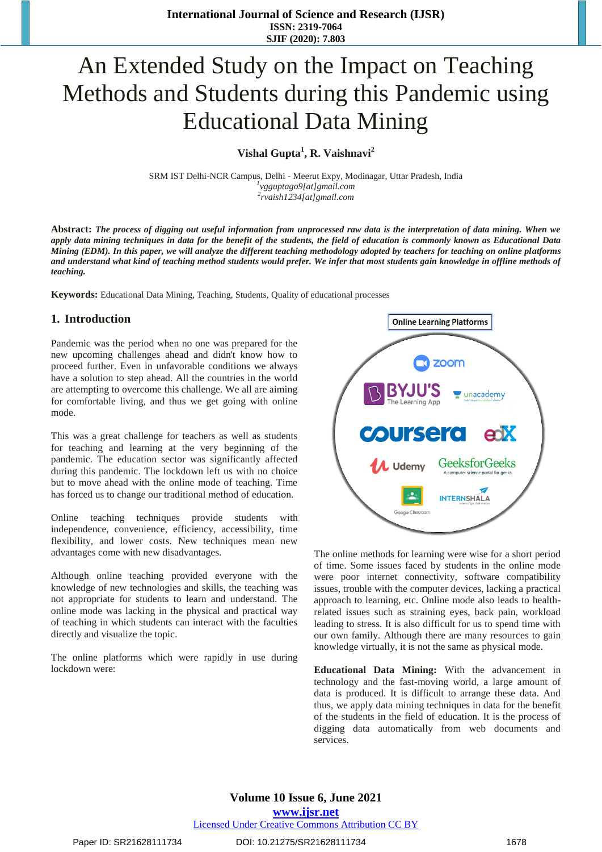# An Extended Study on the Impact on Teaching Methods and Students during this Pandemic using Educational Data Mining

**Vishal Gupta<sup>1</sup> , R. Vaishnavi[2](https://orcid.org/0000-0002-5219-3268)**

SRM IST Delhi-NCR Campus, Delhi - Meerut Expy, Modinagar, Uttar Pradesh, India *1 [vgguptago9\[at\]gmail.com](mailto:vgguptago9@gmail.com) 2 [rvaish1234\[at\]gmail.com](mailto:rvaish1234@gmail.com)*

**Abstract:** *The process of digging out useful information from unprocessed raw data is the interpretation of data mining. When we apply data mining techniques in data for the benefit of the students, the field of education is commonly known as Educational Data Mining (EDM). In this paper, we will analyze the different teaching methodology adopted by teachers for teaching on online platforms and understand what kind of teaching method students would prefer. We infer that most students gain knowledge in offline methods of teaching.*

**Keywords:** Educational Data Mining, Teaching, Students, Quality of educational processes

#### **1. Introduction**

Pandemic was the period when no one was prepared for the new upcoming challenges ahead and didn't know how to proceed further. Even in unfavorable conditions we always have a solution to step ahead. All the countries in the world are attempting to overcome this challenge. We all are aiming for comfortable living, and thus we get going with online mode.

This was a great challenge for teachers as well as students for teaching and learning at the very beginning of the pandemic. The education sector was significantly affected during this pandemic. The lockdown left us with no choice but to move ahead with the online mode of teaching. Time has forced us to change our traditional method of education.

Online teaching techniques provide students with independence, convenience, efficiency, accessibility, time flexibility, and lower costs. New techniques mean new advantages come with new disadvantages.

Although online teaching provided everyone with the knowledge of new technologies and skills, the teaching was not appropriate for students to learn and understand. The online mode was lacking in the physical and practical way of teaching in which students can interact with the faculties directly and visualize the topic.

The online platforms which were rapidly in use during lockdown were:



The online methods for learning were wise for a short period of time. Some issues faced by students in the online mode were poor internet connectivity, software compatibility issues, trouble with the computer devices, lacking a practical approach to learning, etc. Online mode also leads to healthrelated issues such as straining eyes, back pain, workload leading to stress. It is also difficult for us to spend time with our own family. Although there are many resources to gain knowledge virtually, it is not the same as physical mode.

**Educational Data Mining:** With the advancement in technology and the fast-moving world, a large amount of data is produced. It is difficult to arrange these data. And thus, we apply data mining techniques in data for the benefit of the students in the field of education. It is the process of digging data automatically from web documents and services.

Paper ID: SR21628111734 DOI: 10.21275/SR21628111734 1678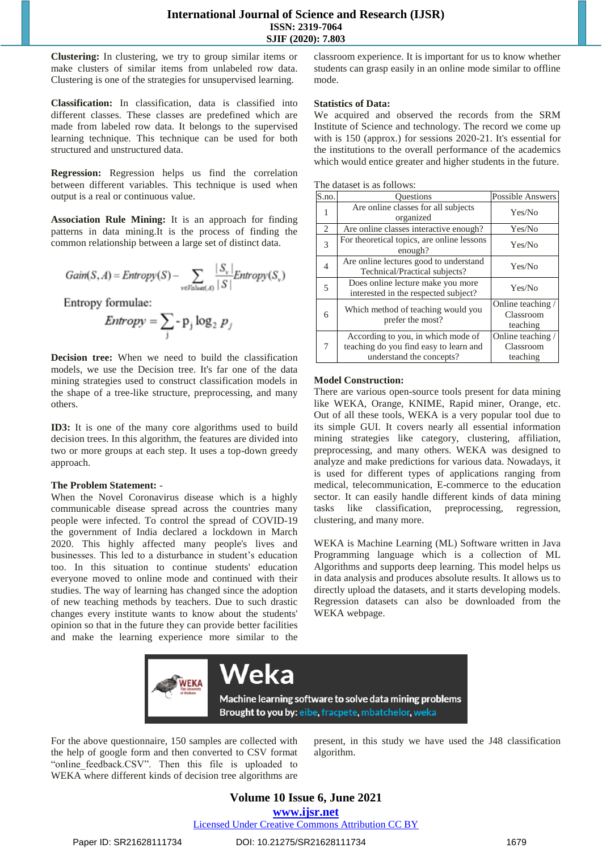#### **International Journal of Science and Research (IJSR) ISSN: 2319-7064 SJIF (2020): 7.803**

**Clustering:** In clustering, we try to group similar items or make clusters of similar items from unlabeled row data. Clustering is one of the strategies for unsupervised learning.

**Classification:** In classification, data is classified into different classes. These classes are predefined which are made from labeled row data. It belongs to the supervised learning technique. This technique can be used for both structured and unstructured data.

**Regression:** Regression helps us find the correlation between different variables. This technique is used when output is a real or continuous value.

**Association Rule Mining:** It is an approach for finding patterns in data mining.It is the process of finding the common relationship between a large set of distinct data.

$$
Gain(S, A) = Entropy(S) - \sum_{v \in Value(A)} \frac{|S_v|}{|S|} Entropy(S_v)
$$

Entropy formulae:

$$
Entropy = \sum_{j} -p_j \log_2 p_j
$$

**Decision tree:** When we need to build the classification models, we use the Decision tree. It's far one of the data mining strategies used to construct classification models in the shape of a tree-like structure, preprocessing, and many others.

**ID3:** It is one of the many core algorithms used to build decision trees. In this algorithm, the features are divided into two or more groups at each step. It uses a top-down greedy approach.

#### **The Problem Statement:** -

When the Novel Coronavirus disease which is a highly communicable disease spread across the countries many people were infected. To control the spread of COVID-19 the government of India declared a lockdown in March 2020. This highly affected many people's lives and businesses. This led to a disturbance in student's education too. In this situation to continue students' education everyone moved to online mode and continued with their studies. The way of learning has changed since the adoption of new teaching methods by teachers. Due to such drastic changes every institute wants to know about the students' opinion so that in the future they can provide better facilities and make the learning experience more similar to the

classroom experience. It is important for us to know whether students can grasp easily in an online mode similar to offline mode.

#### **Statistics of Data:**

We acquired and observed the records from the SRM Institute of Science and technology. The record we come up with is 150 (approx.) for sessions 2020-21. It's essential for the institutions to the overall performance of the academics which would entice greater and higher students in the future.

| The dataset is as follows: |  |  |  |  |
|----------------------------|--|--|--|--|
|----------------------------|--|--|--|--|

| S.no.          | <b>Ouestions</b>                                                                                         | <b>Possible Answers</b>                    |
|----------------|----------------------------------------------------------------------------------------------------------|--------------------------------------------|
| 1              | Are online classes for all subjects<br>organized                                                         | Yes/No                                     |
| $\overline{c}$ | Are online classes interactive enough?                                                                   | Yes/No                                     |
| 3              | For theoretical topics, are online lessons<br>enough?                                                    | Yes/No                                     |
| $\overline{4}$ | Are online lectures good to understand<br>Technical/Practical subjects?                                  | Yes/No                                     |
| 5              | Does online lecture make you more<br>interested in the respected subject?                                | Yes/No                                     |
| 6              | Which method of teaching would you<br>prefer the most?                                                   | Online teaching /<br>Classroom<br>teaching |
| 7              | According to you, in which mode of<br>teaching do you find easy to learn and<br>understand the concepts? | Online teaching /<br>Classroom<br>teaching |

#### **Model Construction:**

There are various open-source tools present for data mining like WEKA, Orange, KNIME, Rapid miner, Orange, etc. Out of all these tools, WEKA is a very popular tool due to its simple GUI. It covers nearly all essential information mining strategies like category, clustering, affiliation, preprocessing, and many others. WEKA was designed to analyze and make predictions for various data. Nowadays, it is used for different types of applications ranging from medical, telecommunication, E-commerce to the education sector. It can easily handle different kinds of data mining tasks like classification, preprocessing, regression, clustering, and many more.

WEKA is Machine Learning (ML) Software written in Java Programming language which is a collection of ML Algorithms and supports deep learning. This model helps us in data analysis and produces absolute results. It allows us to directly upload the datasets, and it starts developing models. Regression datasets can also be downloaded from the WEKA webpage.



For the above questionnaire, 150 samples are collected with the help of google form and then converted to CSV format "online feedback.CSV". Then this file is uploaded to WEKA where different kinds of decision tree algorithms are

present, in this study we have used the J48 classification algorithm.

# **Volume 10 Issue 6, June 2021 www.ijsr.net**

Licensed Under Creative Commons Attribution CC BY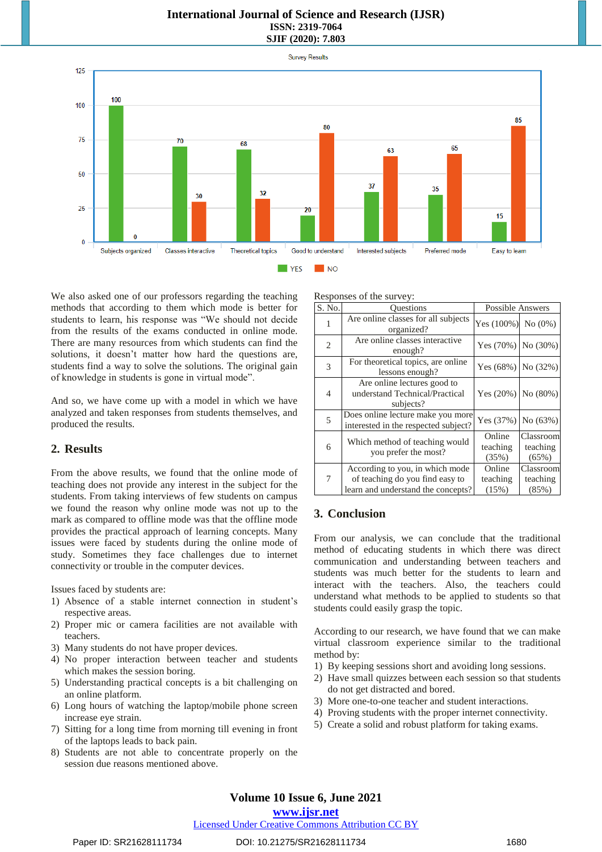#### **International Journal of Science and Research (IJSR) ISSN: 2319-7064 SJIF (2020): 7.803**



We also asked one of our professors regarding the teaching methods that according to them which mode is better for students to learn, his response was "We should not decide from the results of the exams conducted in online mode. There are many resources from which students can find the solutions, it doesn't matter how hard the questions are, students find a way to solve the solutions. The original gain of knowledge in students is gone in virtual mode".

And so, we have come up with a model in which we have analyzed and taken responses from students themselves, and produced the results.

#### **2. Results**

From the above results, we found that the online mode of teaching does not provide any interest in the subject for the students. From taking interviews of few students on campus we found the reason why online mode was not up to the mark as compared to offline mode was that the offline mode provides the practical approach of learning concepts. Many issues were faced by students during the online mode of study. Sometimes they face challenges due to internet connectivity or trouble in the computer devices.

Issues faced by students are:

- 1) Absence of a stable internet connection in student's respective areas.
- 2) Proper mic or camera facilities are not available with teachers.
- 3) Many students do not have proper devices.
- 4) No proper interaction between teacher and students which makes the session boring.
- 5) Understanding practical concepts is a bit challenging on an online platform.
- 6) Long hours of watching the laptop/mobile phone screen increase eye strain.
- 7) Sitting for a long time from morning till evening in front of the laptops leads to back pain.
- 8) Students are not able to concentrate properly on the session due reasons mentioned above.

Responses of the survey:

| $\overline{S}$ . No. | <b>Ouestions</b>                                                                                         | <b>Possible Answers</b>     |                                |  |
|----------------------|----------------------------------------------------------------------------------------------------------|-----------------------------|--------------------------------|--|
| 1                    | Are online classes for all subjects<br>organized?                                                        | Yes (100%) No (0%)          |                                |  |
| 2                    | Are online classes interactive<br>enough?                                                                | Yes $(70%)$ No $(30%)$      |                                |  |
| 3                    | For theoretical topics, are online<br>lessons enough?                                                    | Yes $(68%)$ No $(32%)$      |                                |  |
| 4                    | Are online lectures good to<br>understand Technical/Practical<br>subjects?                               | Yes $(20\%)$ No $(80\%)$    |                                |  |
| 5                    | Does online lecture make you more<br>interested in the respected subject?                                | Yes $(37%)$                 | No (63%)                       |  |
| 6                    | Which method of teaching would<br>you prefer the most?                                                   | Online<br>teaching<br>(35%) | Classroom<br>teaching<br>(65%) |  |
| 7                    | According to you, in which mode<br>of teaching do you find easy to<br>learn and understand the concepts? | Online<br>teaching<br>(15%) | Classroom<br>teaching<br>(85%) |  |

## **3. Conclusion**

From our analysis, we can conclude that the traditional method of educating students in which there was direct communication and understanding between teachers and students was much better for the students to learn and interact with the teachers. Also, the teachers could understand what methods to be applied to students so that students could easily grasp the topic.

According to our research, we have found that we can make virtual classroom experience similar to the traditional method by:

- 1) By keeping sessions short and avoiding long sessions.
- 2) Have small quizzes between each session so that students do not get distracted and bored.
- 3) More one-to-one teacher and student interactions.
- 4) Proving students with the proper internet connectivity.
- 5) Create a solid and robust platform for taking exams.

## **Volume 10 Issue 6, June 2021**

#### **www.ijsr.net**

#### Licensed Under Creative Commons Attribution CC BY